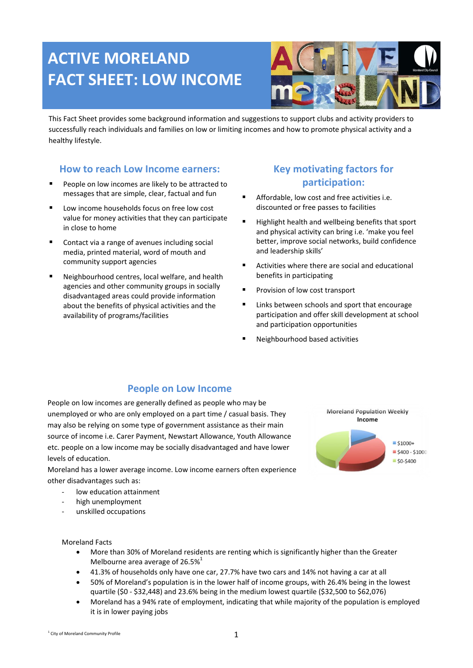# **ACTIVE MORELAND FACT SHEET: LOW INCOME**



This Fact Sheet provides some background information and suggestions to support clubs and activity providers to successfully reach individuals and families on low or limiting incomes and how to promote physical activity and a healthy lifestyle.

#### **How to reach Low Income earners:**

- People on low incomes are likely to be attracted to messages that are simple, clear, factual and fun
- **Low income households focus on free low cost** value for money activities that they can participate in close to home
- Contact via a range of avenues including social media, printed material, word of mouth and community support agencies
- Neighbourhood centres, local welfare, and health agencies and other community groups in socially disadvantaged areas could provide information about the benefits of physical activities and the availability of programs/facilities

# **Key motivating factors for participation:**

- Affordable, low cost and free activities i.e. discounted or free passes to facilities
- Highlight health and wellbeing benefits that sport and physical activity can bring i.e. 'make you feel better, improve social networks, build confidence and leadership skills'
- Activities where there are social and educational benefits in participating
- Provision of low cost transport
- Links between schools and sport that encourage participation and offer skill development at school and participation opportunities
- Neighbourhood based activities

## **People on Low Income**

People on low incomes are generally defined as people who may be unemployed or who are only employed on a part time / casual basis. They may also be relying on some type of government assistance as their main source of income i.e. Carer Payment, Newstart Allowance, Youth Allowance etc. people on a low income may be socially disadvantaged and have lower levels of education.

Moreland has a lower average income. Low income earners often experience other disadvantages such as:

- low education attainment
- high unemployment
- unskilled occupations

Moreland Facts

- More than 30% of Moreland residents are renting which is significantly higher than the Greater Melbourne area average of 26.5%<sup>1</sup>
- 41.3% of households only have one car, 27.7% have two cars and 14% not having a car at all
- 50% of Moreland's population is in the lower half of income groups, with 26.4% being in the lowest quartile (\$0 - \$32,448) and 23.6% being in the medium lowest quartile (\$32,500 to \$62,076)
- Moreland has a 94% rate of employment, indicating that while majority of the population is employed it is in lower paying jobs